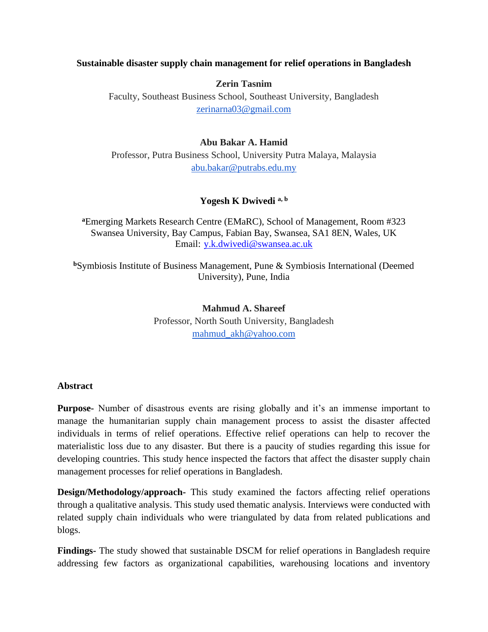#### **Sustainable disaster supply chain management for relief operations in Bangladesh**

**Zerin Tasnim**

Faculty, Southeast Business School, Southeast University, Bangladesh [zerinarna03@gmail.com](mailto:zerinarna03@gmail.com)

#### **Abu Bakar A. Hamid**

Professor, Putra Business School, University Putra Malaya, Malaysia [abu.bakar@putrabs.edu.my](mailto:abu.bakar@putrabs.edu.my)

#### **Yogesh K Dwivedi a, b**

**<sup>a</sup>**Emerging Markets Research Centre (EMaRC), School of Management, Room #323 Swansea University, Bay Campus, Fabian Bay, Swansea, SA1 8EN, Wales, UK Email: [y.k.dwivedi@swansea.ac.uk](mailto:y.k.dwivedi@swansea.ac.uk)

**<sup>b</sup>**Symbiosis Institute of Business Management, Pune & Symbiosis International (Deemed University), Pune, India

> **Mahmud A. Shareef** Professor, North South University, Bangladesh [mahmud\\_akh@yahoo.com](mailto:mahmud_akh@yahoo.com)

#### **Abstract**

**Purpose-** Number of disastrous events are rising globally and it's an immense important to manage the humanitarian supply chain management process to assist the disaster affected individuals in terms of relief operations. Effective relief operations can help to recover the materialistic loss due to any disaster. But there is a paucity of studies regarding this issue for developing countries. This study hence inspected the factors that affect the disaster supply chain management processes for relief operations in Bangladesh.

**Design/Methodology/approach-** This study examined the factors affecting relief operations through a qualitative analysis. This study used thematic analysis. Interviews were conducted with related supply chain individuals who were triangulated by data from related publications and blogs.

**Findings-** The study showed that sustainable DSCM for relief operations in Bangladesh require addressing few factors as organizational capabilities, warehousing locations and inventory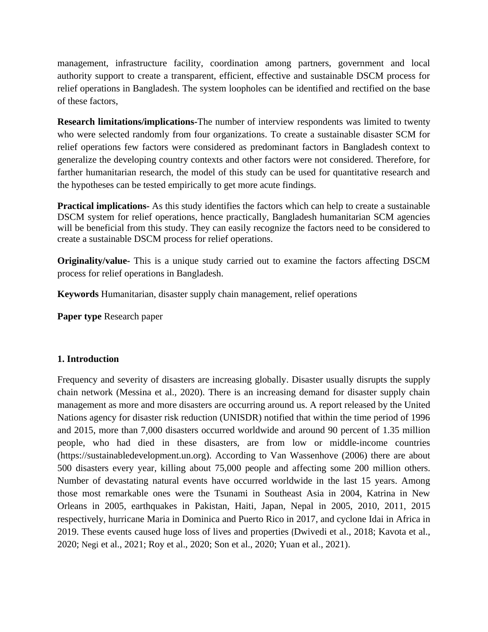management, infrastructure facility, coordination among partners, government and local authority support to create a transparent, efficient, effective and sustainable DSCM process for relief operations in Bangladesh. The system loopholes can be identified and rectified on the base of these factors,

**Research limitations/implications-**The number of interview respondents was limited to twenty who were selected randomly from four organizations. To create a sustainable disaster SCM for relief operations few factors were considered as predominant factors in Bangladesh context to generalize the developing country contexts and other factors were not considered. Therefore, for farther humanitarian research, the model of this study can be used for quantitative research and the hypotheses can be tested empirically to get more acute findings.

**Practical implications-** As this study identifies the factors which can help to create a sustainable DSCM system for relief operations, hence practically, Bangladesh humanitarian SCM agencies will be beneficial from this study. They can easily recognize the factors need to be considered to create a sustainable DSCM process for relief operations.

**Originality/value-** This is a unique study carried out to examine the factors affecting DSCM process for relief operations in Bangladesh.

**Keywords** Humanitarian, disaster supply chain management, relief operations

**Paper type** Research paper

#### **1. Introduction**

Frequency and severity of disasters are increasing globally. Disaster usually disrupts the supply chain network (Messina et al., 2020). There is an increasing demand for disaster supply chain management as more and more disasters are occurring around us. A report released by the United Nations agency for disaster risk reduction (UNISDR) notified that within the time period of 1996 and 2015, more than 7,000 disasters occurred worldwide and around 90 percent of 1.35 million people, who had died in these disasters, are from low or middle-income countries [\(https://sustainabledevelopment.un.org\)](https://sustainabledevelopment.un.org/). According to Van Wassenhove (2006) there are about 500 disasters every year, killing about 75,000 people and affecting some 200 million others. Number of devastating natural events have occurred worldwide in the last 15 years. Among those most remarkable ones were the Tsunami in Southeast Asia in 2004, Katrina in New Orleans in 2005, earthquakes in Pakistan, Haiti, Japan, Nepal in 2005, 2010, 2011, 2015 respectively, hurricane Maria in Dominica and Puerto Rico in 2017, and cyclone Idai in Africa in 2019. These events caused huge loss of lives and properties (Dwivedi et al., 2018; Kavota et al., 2020; Negi et al., 2021; Roy et al., 2020; Son et al., 2020; Yuan et al., 2021).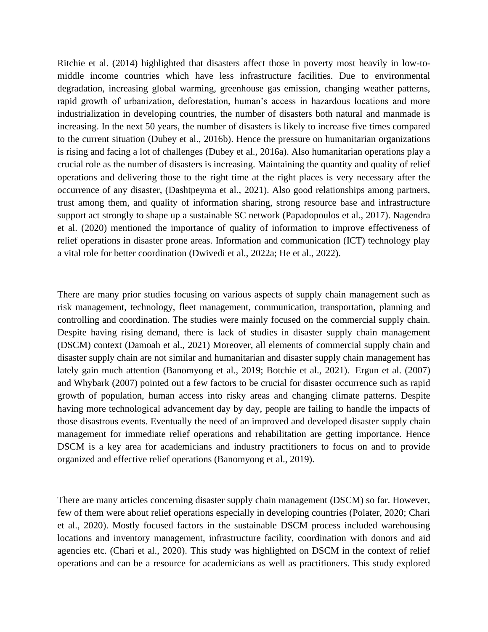Ritchie et al. (2014) highlighted that disasters affect those in poverty most heavily in low-tomiddle income countries which have less infrastructure facilities. Due to environmental degradation, increasing global warming, greenhouse gas emission, changing weather patterns, rapid growth of urbanization, deforestation, human's access in hazardous locations and more industrialization in developing countries, the number of disasters both natural and manmade is increasing. In the next 50 years, the number of disasters is likely to increase five times compared to the current situation (Dubey et al., 2016b). Hence the pressure on humanitarian organizations is rising and facing a lot of challenges (Dubey et al., 2016a). Also humanitarian operations play a crucial role as the number of disasters is increasing. Maintaining the quantity and quality of relief operations and delivering those to the right time at the right places is very necessary after the occurrence of any disaster, (Dashtpeyma et al., 2021). Also good relationships among partners, trust among them, and quality of information sharing, strong resource base and infrastructure support act strongly to shape up a sustainable SC network (Papadopoulos et al., 2017). Nagendra et al. (2020) mentioned the importance of quality of information to improve effectiveness of relief operations in disaster prone areas. Information and communication (ICT) technology play a vital role for better coordination (Dwivedi et al., 2022a; He et al., 2022).

There are many prior studies focusing on various aspects of supply chain management such as risk management, technology, fleet management, communication, transportation, planning and controlling and coordination. The studies were mainly focused on the commercial supply chain. Despite having rising demand, there is lack of studies in disaster supply chain management (DSCM) context (Damoah et al., 2021) Moreover, all elements of commercial supply chain and disaster supply chain are not similar and humanitarian and disaster supply chain management has lately gain much attention (Banomyong et al., 2019; Botchie et al., 2021). Ergun et al. (2007) and Whybark (2007) pointed out a few factors to be crucial for disaster occurrence such as rapid growth of population, human access into risky areas and changing climate patterns. Despite having more technological advancement day by day, people are failing to handle the impacts of those disastrous events. Eventually the need of an improved and developed disaster supply chain management for immediate relief operations and rehabilitation are getting importance. Hence DSCM is a key area for academicians and industry practitioners to focus on and to provide organized and effective relief operations (Banomyong et al., 2019).

There are many articles concerning disaster supply chain management (DSCM) so far. However, few of them were about relief operations especially in developing countries (Polater, 2020; Chari et al., 2020). Mostly focused factors in the sustainable DSCM process included warehousing locations and inventory management, infrastructure facility, coordination with donors and aid agencies etc. (Chari et al., 2020). This study was highlighted on DSCM in the context of relief operations and can be a resource for academicians as well as practitioners. This study explored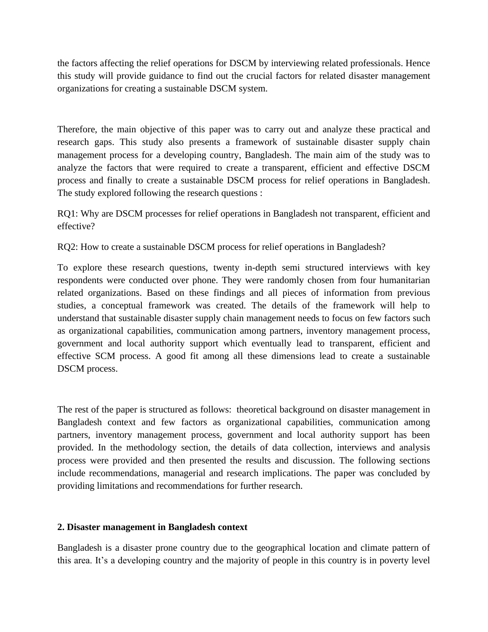the factors affecting the relief operations for DSCM by interviewing related professionals. Hence this study will provide guidance to find out the crucial factors for related disaster management organizations for creating a sustainable DSCM system.

Therefore, the main objective of this paper was to carry out and analyze these practical and research gaps. This study also presents a framework of sustainable disaster supply chain management process for a developing country, Bangladesh. The main aim of the study was to analyze the factors that were required to create a transparent, efficient and effective DSCM process and finally to create a sustainable DSCM process for relief operations in Bangladesh. The study explored following the research questions :

RQ1: Why are DSCM processes for relief operations in Bangladesh not transparent, efficient and effective?

RQ2: How to create a sustainable DSCM process for relief operations in Bangladesh?

To explore these research questions, twenty in-depth semi structured interviews with key respondents were conducted over phone. They were randomly chosen from four humanitarian related organizations. Based on these findings and all pieces of information from previous studies, a conceptual framework was created. The details of the framework will help to understand that sustainable disaster supply chain management needs to focus on few factors such as organizational capabilities, communication among partners, inventory management process, government and local authority support which eventually lead to transparent, efficient and effective SCM process. A good fit among all these dimensions lead to create a sustainable DSCM process.

The rest of the paper is structured as follows: theoretical background on disaster management in Bangladesh context and few factors as organizational capabilities, communication among partners, inventory management process, government and local authority support has been provided. In the methodology section, the details of data collection, interviews and analysis process were provided and then presented the results and discussion. The following sections include recommendations, managerial and research implications. The paper was concluded by providing limitations and recommendations for further research.

## **2. Disaster management in Bangladesh context**

Bangladesh is a disaster prone country due to the geographical location and climate pattern of this area. It's a developing country and the majority of people in this country is in poverty level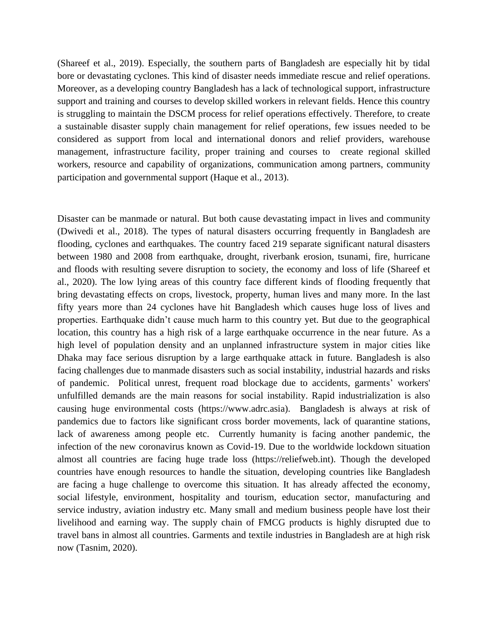(Shareef et al., 2019). Especially, the southern parts of Bangladesh are especially hit by tidal bore or devastating cyclones. This kind of disaster needs immediate rescue and relief operations. Moreover, as a developing country Bangladesh has a lack of technological support, infrastructure support and training and courses to develop skilled workers in relevant fields. Hence this country is struggling to maintain the DSCM process for relief operations effectively. Therefore, to create a sustainable disaster supply chain management for relief operations, few issues needed to be considered as support from local and international donors and relief providers, warehouse management, infrastructure facility, proper training and courses to create regional skilled workers, resource and capability of organizations, communication among partners, community participation and governmental support (Haque et al., 2013).

Disaster can be manmade or natural. But both cause devastating impact in lives and community (Dwivedi et al., 2018). The types of natural disasters occurring frequently in Bangladesh are flooding, cyclones and earthquakes. The country faced 219 separate significant natural disasters between 1980 and 2008 from earthquake, drought, riverbank erosion, tsunami, fire, hurricane and floods with resulting severe disruption to society, the economy and loss of life (Shareef et al., 2020). The low lying areas of this country face different kinds of flooding frequently that bring devastating effects on crops, livestock, property, human lives and many more. In the last fifty years more than 24 cyclones have hit Bangladesh which causes huge loss of lives and properties. Earthquake didn't cause much harm to this country yet. But due to the geographical location, this country has a high risk of a large earthquake occurrence in the near future. As a high level of population density and an unplanned infrastructure system in major cities like Dhaka may face serious disruption by a large earthquake attack in future. Bangladesh is also facing challenges due to manmade disasters such as social instability, industrial hazards and risks of pandemic. Political unrest, frequent road blockage due to accidents, garments' workers' unfulfilled demands are the main reasons for social instability. Rapid industrialization is also causing huge environmental costs (https://www.adrc.asia). Bangladesh is always at risk of pandemics due to factors like significant cross border movements, lack of quarantine stations, lack of awareness among people etc. Currently humanity is facing another pandemic, the infection of the new coronavirus known as Covid-19. Due to the worldwide lockdown situation almost all countries are facing huge trade loss (https://reliefweb.int). Though the developed countries have enough resources to handle the situation, developing countries like Bangladesh are facing a huge challenge to overcome this situation. It has already affected the economy, social lifestyle, environment, hospitality and tourism, education sector, manufacturing and service industry, aviation industry etc. Many small and medium business people have lost their livelihood and earning way. The supply chain of FMCG products is highly disrupted due to travel bans in almost all countries. Garments and textile industries in Bangladesh are at high risk now (Tasnim, 2020).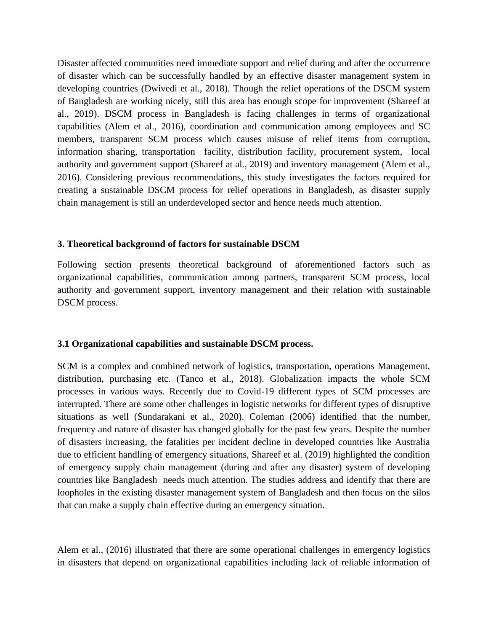Disaster affected communities need immediate support and relief during and after the occurrence of disaster which can be successfully handled by an effective disaster management system in developing countries (Dwivedi et al., 2018). Though the relief operations of the DSCM system of Bangladesh are working nicely, still this area has enough scope for improvement (Shareef at al., 2019). DSCM process in Bangladesh is facing challenges in terms of organizational capabilities (Alem et al., 2016), coordination and communication among employees and SC members, transparent SCM process which causes misuse of relief items from corruption, information sharing, transportation facility, distribution facility, procurement system, local authority and government support (Shareef at al., 2019) and inventory management (Alem et al., 2016). Considering previous recommendations, this study investigates the factors required for creating a sustainable DSCM process for relief operations in Bangladesh, as disaster supply chain management is still an underdeveloped sector and hence needs much attention.

#### **3. Theoretical background of factors for sustainable DSCM**

Following section presents theoretical background of aforementioned factors such as organizational capabilities, communication among partners, transparent SCM process, local authority and government support, inventory management and their relation with sustainable DSCM process.

#### **3.1 Organizational capabilities and sustainable DSCM process.**

SCM is a complex and combined network of logistics, transportation, operations Management, distribution, purchasing etc. (Tanco et al., 2018). Globalization impacts the whole SCM processes in various ways. Recently due to Covid-19 different types of SCM processes are interrupted. There are some other challenges in logistic networks for different types of disruptive situations as well (Sundarakani et al., 2020). Coleman (2006) identified that the number, frequency and nature of disaster has changed globally for the past few years. Despite the number of disasters increasing, the fatalities per incident decline in developed countries like Australia due to efficient handling of emergency situations, Shareef et al. (2019) highlighted the condition of emergency supply chain management (during and after any disaster) system of developing countries like Bangladesh needs much attention. The studies address and identify that there are loopholes in the existing disaster management system of Bangladesh and then focus on the silos that can make a supply chain effective during an emergency situation.

Alem et al., (2016) illustrated that there are some operational challenges in emergency logistics in disasters that depend on organizational capabilities including lack of reliable information of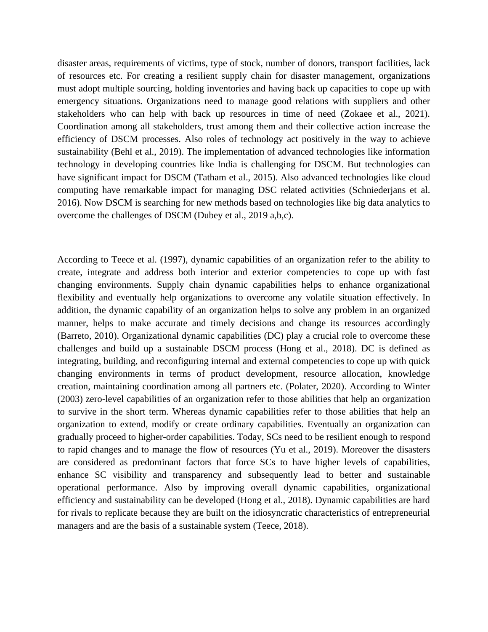disaster areas, requirements of victims, type of stock, number of donors, transport facilities, lack of resources etc. For creating a resilient supply chain for disaster management, organizations must adopt multiple sourcing, holding inventories and having back up capacities to cope up with emergency situations. Organizations need to manage good relations with suppliers and other stakeholders who can help with back up resources in time of need (Zokaee et al., 2021). Coordination among all stakeholders, trust among them and their collective action increase the efficiency of DSCM processes. Also roles of technology act positively in the way to achieve sustainability (Behl et al., 2019). The implementation of advanced technologies like information technology in developing countries like India is challenging for DSCM. But technologies can have significant impact for DSCM (Tatham et al., 2015). Also advanced technologies like cloud computing have remarkable impact for managing DSC related activities (Schniederjans et al. 2016). Now DSCM is searching for new methods based on technologies like big data analytics to overcome the challenges of DSCM (Dubey et al., 2019 a,b,c).

According to Teece et al. (1997), dynamic capabilities of an organization refer to the ability to create, integrate and address both interior and exterior competencies to cope up with fast changing environments. Supply chain dynamic capabilities helps to enhance organizational flexibility and eventually help organizations to overcome any volatile situation effectively. In addition, the dynamic capability of an organization helps to solve any problem in an organized manner, helps to make accurate and timely decisions and change its resources accordingly (Barreto, 2010). Organizational dynamic capabilities (DC) play a crucial role to overcome these challenges and build up a sustainable DSCM process (Hong et al., 2018). DC is defined as integrating, building, and reconfiguring internal and external competencies to cope up with quick changing environments in terms of product development, resource allocation, knowledge creation, maintaining coordination among all partners etc. (Polater, 2020). According to Winter (2003) zero-level capabilities of an organization refer to those abilities that help an organization to survive in the short term. Whereas dynamic capabilities refer to those abilities that help an organization to extend, modify or create ordinary capabilities. Eventually an organization can gradually proceed to higher-order capabilities. Today, SCs need to be resilient enough to respond to rapid changes and to manage the flow of resources (Yu et al., 2019). Moreover the disasters are considered as predominant factors that force SCs to have higher levels of capabilities, enhance SC visibility and transparency and subsequently lead to better and sustainable operational performance. Also by improving overall dynamic capabilities, organizational efficiency and sustainability can be developed (Hong et al., 2018). Dynamic capabilities are hard for rivals to replicate because they are built on the idiosyncratic characteristics of entrepreneurial managers and are the basis of a sustainable system (Teece, 2018).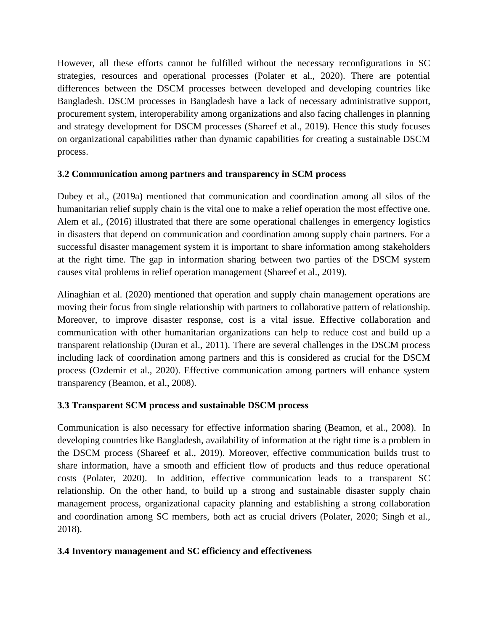However, all these efforts cannot be fulfilled without the necessary reconfigurations in SC strategies, resources and operational processes (Polater et al., 2020). There are potential differences between the DSCM processes between developed and developing countries like Bangladesh. DSCM processes in Bangladesh have a lack of necessary administrative support, procurement system, interoperability among organizations and also facing challenges in planning and strategy development for DSCM processes (Shareef et al., 2019). Hence this study focuses on organizational capabilities rather than dynamic capabilities for creating a sustainable DSCM process.

# **3.2 Communication among partners and transparency in SCM process**

Dubey et al., (2019a) mentioned that communication and coordination among all silos of the humanitarian relief supply chain is the vital one to make a relief operation the most effective one. Alem et al., (2016) illustrated that there are some operational challenges in emergency logistics in disasters that depend on communication and coordination among supply chain partners. For a successful disaster management system it is important to share information among stakeholders at the right time. The gap in information sharing between two parties of the DSCM system causes vital problems in relief operation management (Shareef et al., 2019).

Alinaghian et al. (2020) mentioned that operation and supply chain management operations are moving their focus from single relationship with partners to collaborative pattern of relationship. Moreover, to improve disaster response, cost is a vital issue. Effective collaboration and communication with other humanitarian organizations can help to reduce cost and build up a transparent relationship (Duran et al., 2011). There are several challenges in the DSCM process including lack of coordination among partners and this is considered as crucial for the DSCM process (Ozdemir et al., 2020). Effective communication among partners will enhance system transparency (Beamon, et al., 2008).

## **3.3 Transparent SCM process and sustainable DSCM process**

Communication is also necessary for effective information sharing (Beamon, et al., 2008). In developing countries like Bangladesh, availability of information at the right time is a problem in the DSCM process (Shareef et al., 2019). Moreover, effective communication builds trust to share information, have a smooth and efficient flow of products and thus reduce operational costs (Polater, 2020). In addition, effective communication leads to a transparent SC relationship. On the other hand, to build up a strong and sustainable disaster supply chain management process, organizational capacity planning and establishing a strong collaboration and coordination among SC members, both act as crucial drivers (Polater, 2020; Singh et al., 2018).

# **3.4 Inventory management and SC efficiency and effectiveness**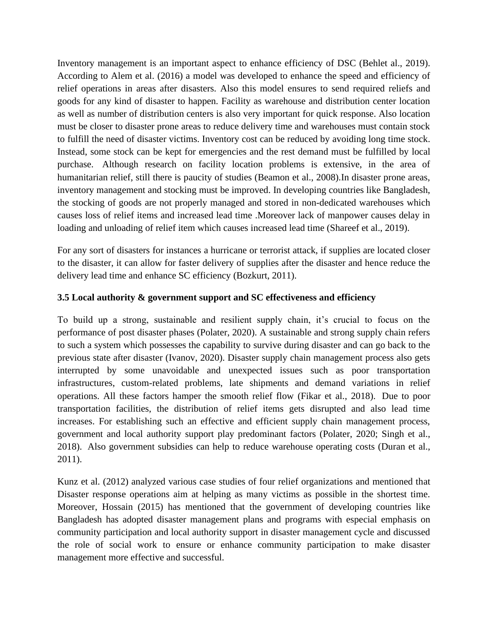Inventory management is an important aspect to enhance efficiency of DSC (Behlet al., 2019). According to Alem et al. (2016) a model was developed to enhance the speed and efficiency of relief operations in areas after disasters. Also this model ensures to send required reliefs and goods for any kind of disaster to happen. Facility as warehouse and distribution center location as well as number of distribution centers is also very important for quick response. Also location must be closer to disaster prone areas to reduce delivery time and warehouses must contain stock to fulfill the need of disaster victims. Inventory cost can be reduced by avoiding long time stock. Instead, some stock can be kept for emergencies and the rest demand must be fulfilled by local purchase. Although research on facility location problems is extensive, in the area of humanitarian relief, still there is paucity of studies (Beamon et al., 2008).In disaster prone areas, inventory management and stocking must be improved. In developing countries like Bangladesh, the stocking of goods are not properly managed and stored in non-dedicated warehouses which causes loss of relief items and increased lead time .Moreover lack of manpower causes delay in loading and unloading of relief item which causes increased lead time (Shareef et al., 2019).

For any sort of disasters for instances a hurricane or terrorist attack, if supplies are located closer to the disaster, it can allow for faster delivery of supplies after the disaster and hence reduce the delivery lead time and enhance SC efficiency (Bozkurt, 2011).

## **3.5 Local authority & government support and SC effectiveness and efficiency**

To build up a strong, sustainable and resilient supply chain, it's crucial to focus on the performance of post disaster phases (Polater, 2020). A sustainable and strong supply chain refers to such a system which possesses the capability to survive during disaster and can go back to the previous state after disaster (Ivanov, 2020). Disaster supply chain management process also gets interrupted by some unavoidable and unexpected issues such as poor transportation infrastructures, custom-related problems, late shipments and demand variations in relief operations. All these factors hamper the smooth relief flow (Fikar et al., 2018). Due to poor transportation facilities, the distribution of relief items gets disrupted and also lead time increases. For establishing such an effective and efficient supply chain management process, government and local authority support play predominant factors (Polater, 2020; Singh et al., 2018). Also government subsidies can help to reduce warehouse operating costs (Duran et al., 2011).

Kunz et al. (2012) analyzed various case studies of four relief organizations and mentioned that Disaster response operations aim at helping as many victims as possible in the shortest time. Moreover, Hossain (2015) has mentioned that the government of developing countries like Bangladesh has adopted disaster management plans and programs with especial emphasis on community participation and local authority support in disaster management cycle and discussed the role of social work to ensure or enhance community participation to make disaster management more effective and successful.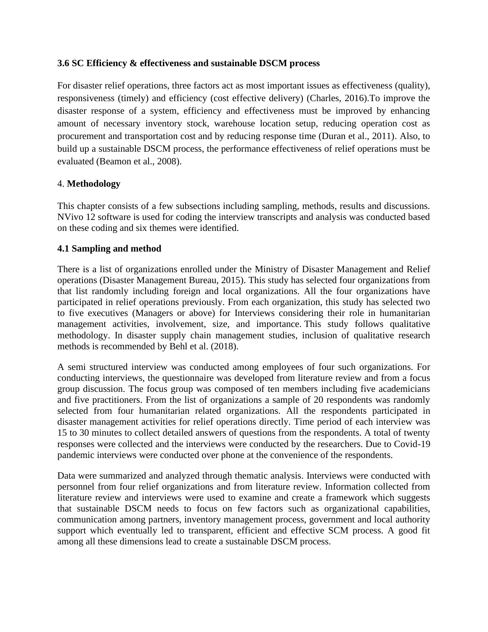#### **3.6 SC Efficiency & effectiveness and sustainable DSCM process**

For disaster relief operations, three factors act as most important issues as effectiveness (quality), responsiveness (timely) and efficiency (cost effective delivery) (Charles, 2016).To improve the disaster response of a system, efficiency and effectiveness must be improved by enhancing amount of necessary inventory stock, warehouse location setup, reducing operation cost as procurement and transportation cost and by reducing response time (Duran et al., 2011). Also, to build up a sustainable DSCM process, the performance effectiveness of relief operations must be evaluated (Beamon et al., 2008).

#### 4. **Methodology**

This chapter consists of a few subsections including sampling, methods, results and discussions. NVivo 12 software is used for coding the interview transcripts and analysis was conducted based on these coding and six themes were identified.

#### **4.1 Sampling and method**

There is a list of organizations enrolled under the Ministry of Disaster Management and Relief operations (Disaster Management Bureau, 2015). This study has selected four organizations from that list randomly including foreign and local organizations. All the four organizations have participated in relief operations previously. From each organization, this study has selected two to five executives (Managers or above) for Interviews considering their role in humanitarian management activities, involvement, size, and importance. This study follows qualitative methodology. In disaster supply chain management studies, inclusion of qualitative research methods is recommended by Behl et al. (2018).

A semi structured interview was conducted among employees of four such organizations. For conducting interviews, the questionnaire was developed from literature review and from a focus group discussion. The focus group was composed of ten members including five academicians and five practitioners. From the list of organizations a sample of 20 respondents was randomly selected from four humanitarian related organizations. All the respondents participated in disaster management activities for relief operations directly. Time period of each interview was 15 to 30 minutes to collect detailed answers of questions from the respondents. A total of twenty responses were collected and the interviews were conducted by the researchers. Due to Covid-19 pandemic interviews were conducted over phone at the convenience of the respondents.

Data were summarized and analyzed through thematic analysis. Interviews were conducted with personnel from four relief organizations and from literature review. Information collected from literature review and interviews were used to examine and create a framework which suggests that sustainable DSCM needs to focus on few factors such as organizational capabilities, communication among partners, inventory management process, government and local authority support which eventually led to transparent, efficient and effective SCM process. A good fit among all these dimensions lead to create a sustainable DSCM process.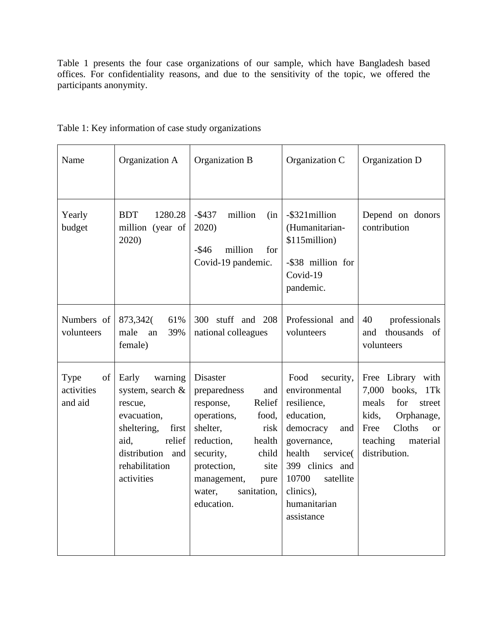Table 1 presents the four case organizations of our sample, which have Bangladesh based offices. For confidentiality reasons, and due to the sensitivity of the topic, we offered the participants anonymity.

| Name                                | Organization A                                                                                                                                               | Organization B                                                                                                                                                                                                                        | Organization C                                                                                                                                                                                               | Organization D                                                                                                                                                |
|-------------------------------------|--------------------------------------------------------------------------------------------------------------------------------------------------------------|---------------------------------------------------------------------------------------------------------------------------------------------------------------------------------------------------------------------------------------|--------------------------------------------------------------------------------------------------------------------------------------------------------------------------------------------------------------|---------------------------------------------------------------------------------------------------------------------------------------------------------------|
| Yearly<br>budget                    | <b>BDT</b><br>1280.28<br>million (year of<br>2020)                                                                                                           | $-$ \$437<br>million<br>(in<br>2020)<br>$-$ \$46<br>million<br>for<br>Covid-19 pandemic.                                                                                                                                              | -\$321million<br>(Humanitarian-<br>\$115million)<br>-\$38 million for<br>Covid-19<br>pandemic.                                                                                                               | Depend on donors<br>contribution                                                                                                                              |
| Numbers of<br>volunteers            | 873,342(<br>61%<br>male<br>39%<br>an<br>female)                                                                                                              | 300 stuff and 208<br>national colleagues                                                                                                                                                                                              | Professional and<br>volunteers                                                                                                                                                                               | professionals<br>40<br>thousands<br>and<br>of<br>volunteers                                                                                                   |
| Type<br>of<br>activities<br>and aid | warning<br>Early<br>system, search &<br>rescue,<br>evacuation,<br>sheltering,<br>first<br>aid,<br>relief<br>distribution and<br>rehabilitation<br>activities | Disaster<br>preparedness<br>and<br>Relief<br>response,<br>operations,<br>food,<br>shelter,<br>risk<br>reduction,<br>health<br>security,<br>child<br>protection,<br>site<br>management,<br>pure<br>sanitation,<br>water,<br>education. | Food<br>security,<br>environmental<br>resilience,<br>education,<br>democracy<br>and<br>governance,<br>health<br>service(<br>399 clinics and<br>10700<br>satellite<br>clinics),<br>humanitarian<br>assistance | Free Library with<br>7,000 books, 1Tk<br>meals<br>for<br>street<br>kids,<br>Orphanage,<br>Cloths<br>Free<br>$\alpha$<br>teaching<br>material<br>distribution. |

# Table 1: Key information of case study organizations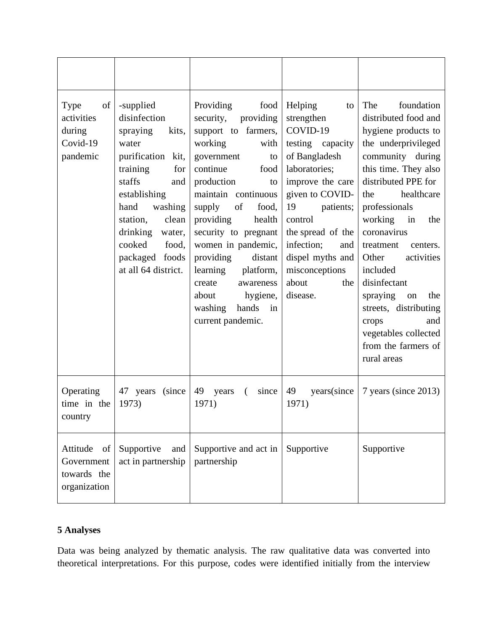| Type<br>of<br>activities<br>during<br>Covid-19<br>pandemic  | -supplied<br>disinfection<br>spraying<br>kits,<br>water<br>purification kit,<br>training<br>for<br>staffs<br>and<br>establishing<br>hand<br>washing<br>station,<br>clean<br>drinking<br>water,<br>cooked<br>food,<br>packaged foods<br>at all 64 district. | Providing<br>food<br>security,<br>providing<br>support to farmers,<br>working<br>with<br>government<br>to<br>continue<br>food<br>production<br>to<br>maintain continuous<br>of<br>supply<br>food,<br>providing<br>health<br>security to pregnant<br>women in pandemic,<br>providing<br>distant<br>learning<br>platform,<br>create<br>awareness<br>hygiene,<br>about<br>hands<br>washing<br>in<br>current pandemic. | Helping<br>to<br>strengthen<br>COVID-19<br>testing<br>capacity<br>of Bangladesh<br>laboratories;<br>improve the care<br>given to COVID-<br>19<br>patients;<br>control<br>the spread of the<br>infection;<br>and<br>dispel myths and<br>misconceptions<br>about<br>the<br>disease. | The<br>foundation<br>distributed food and<br>hygiene products to<br>the underprivileged<br>community during<br>this time. They also<br>distributed PPE for<br>healthcare<br>the<br>professionals<br>working<br>in<br>the<br>coronavirus<br>treatment<br>centers.<br>Other<br>activities<br>included<br>disinfectant<br>spraying<br>the<br>on<br>streets, distributing<br>crops<br>and<br>vegetables collected<br>from the farmers of<br>rural areas |
|-------------------------------------------------------------|------------------------------------------------------------------------------------------------------------------------------------------------------------------------------------------------------------------------------------------------------------|--------------------------------------------------------------------------------------------------------------------------------------------------------------------------------------------------------------------------------------------------------------------------------------------------------------------------------------------------------------------------------------------------------------------|-----------------------------------------------------------------------------------------------------------------------------------------------------------------------------------------------------------------------------------------------------------------------------------|-----------------------------------------------------------------------------------------------------------------------------------------------------------------------------------------------------------------------------------------------------------------------------------------------------------------------------------------------------------------------------------------------------------------------------------------------------|
| Operating<br>time in the<br>country                         | 47 years (since<br>1973)                                                                                                                                                                                                                                   | 49 years<br>$\left($<br>since<br>1971)                                                                                                                                                                                                                                                                                                                                                                             | 49<br>years(since<br>1971)                                                                                                                                                                                                                                                        | 7 years (since 2013)                                                                                                                                                                                                                                                                                                                                                                                                                                |
| Attitude<br>of<br>Government<br>towards the<br>organization | Supportive<br>and<br>act in partnership                                                                                                                                                                                                                    | Supportive and act in<br>partnership                                                                                                                                                                                                                                                                                                                                                                               | Supportive                                                                                                                                                                                                                                                                        | Supportive                                                                                                                                                                                                                                                                                                                                                                                                                                          |

# **5 Analyses**

Data was being analyzed by thematic analysis. The raw qualitative data was converted into theoretical interpretations. For this purpose, codes were identified initially from the interview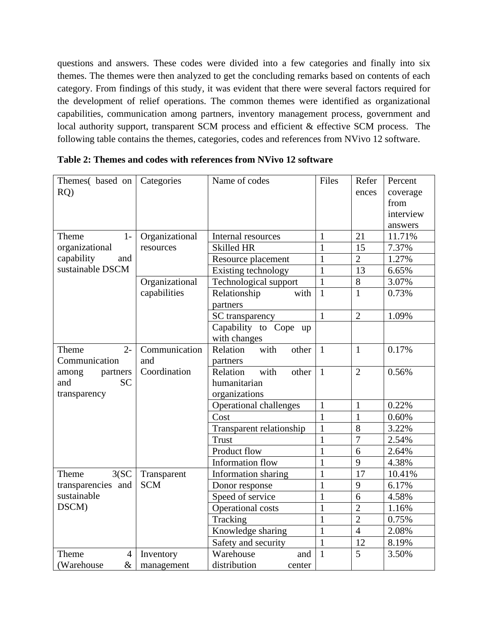questions and answers. These codes were divided into a few categories and finally into six themes. The themes were then analyzed to get the concluding remarks based on contents of each category. From findings of this study, it was evident that there were several factors required for the development of relief operations. The common themes were identified as organizational capabilities, communication among partners, inventory management process, government and local authority support, transparent SCM process and efficient & effective SCM process. The following table contains the themes, categories, codes and references from NVivo 12 software.

| Themes(based on<br>RO   | Categories     | Name of codes                 | Files        | Refer<br>ences | Percent<br>coverage<br>from |
|-------------------------|----------------|-------------------------------|--------------|----------------|-----------------------------|
|                         |                |                               |              |                | interview<br>answers        |
| $1-$<br>Theme           | Organizational | Internal resources            | 1            | 21             | 11.71%                      |
| organizational          | resources      | Skilled HR                    | $\mathbf{1}$ | 15             | 7.37%                       |
| capability<br>and       |                | Resource placement            | $\mathbf{1}$ | $\overline{2}$ | 1.27%                       |
| sustainable DSCM        |                | Existing technology           | $\mathbf{1}$ | 13             | 6.65%                       |
|                         | Organizational | Technological support         | 1            | $8\,$          | 3.07%                       |
|                         | capabilities   | Relationship<br>with          | $\mathbf{1}$ | $\mathbf{1}$   | 0.73%                       |
|                         |                | partners                      |              |                |                             |
|                         |                | SC transparency               | $\mathbf{1}$ | $\overline{2}$ | 1.09%                       |
|                         |                | Capability to Cope up         |              |                |                             |
|                         |                | with changes                  |              |                |                             |
| $2 -$<br>Theme          | Communication  | Relation<br>with<br>other     | $\mathbf{1}$ | $\mathbf{1}$   | 0.17%                       |
| Communication           | and            | partners                      |              |                |                             |
| among<br>partners       | Coordination   | Relation<br>with<br>other     | $\mathbf{1}$ | $\overline{2}$ | 0.56%                       |
| <b>SC</b><br>and        |                | humanitarian                  |              |                |                             |
| transparency            |                | organizations                 |              |                |                             |
|                         |                | <b>Operational challenges</b> | $\mathbf{1}$ | $\mathbf{1}$   | 0.22%                       |
|                         |                | Cost                          | $\mathbf{1}$ | $\mathbf{1}$   | 0.60%                       |
|                         |                | Transparent relationship      | $\mathbf{1}$ | 8              | 3.22%                       |
|                         |                | <b>Trust</b>                  | $\mathbf{1}$ | $\overline{7}$ | 2.54%                       |
|                         |                | Product flow                  | $\mathbf{1}$ | 6              | 2.64%                       |
|                         |                | Information flow              | $\mathbf{1}$ | $\overline{Q}$ | 4.38%                       |
| 3(SC)<br>Theme          | Transparent    | Information sharing           | $\mathbf{1}$ | 17             | 10.41%                      |
| transparencies and      | <b>SCM</b>     | Donor response                | $\mathbf{1}$ | 9              | 6.17%                       |
| sustainable             |                | Speed of service              | 1            | 6              | 4.58%                       |
| DSCM)                   |                | Operational costs             | $\mathbf{1}$ | $\overline{2}$ | 1.16%                       |
|                         |                | Tracking                      | $\mathbf{1}$ | $\overline{2}$ | 0.75%                       |
|                         |                | Knowledge sharing             | $\mathbf{1}$ | $\overline{4}$ | 2.08%                       |
|                         |                | Safety and security           | $\mathbf{1}$ | 12             | 8.19%                       |
| $\overline{4}$<br>Theme | Inventory      | Warehouse<br>and              | $\mathbf{1}$ | 5              | 3.50%                       |
| (Warehouse<br>$\&$      | management     | distribution<br>center        |              |                |                             |

**Table 2: Themes and codes with references from NVivo 12 software**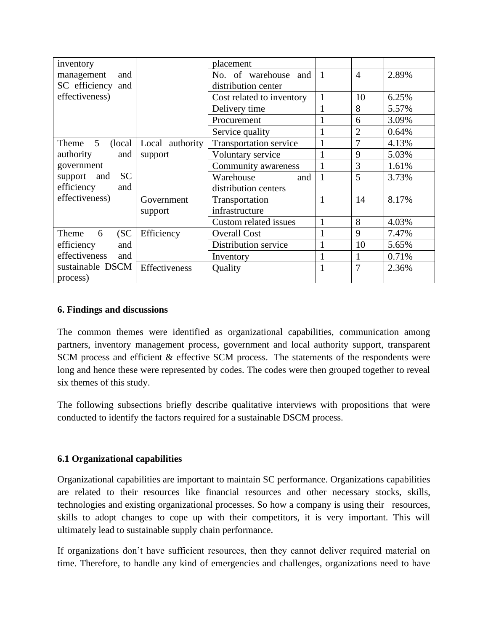| inventory                           |                 | placement                     |                |                |       |
|-------------------------------------|-----------------|-------------------------------|----------------|----------------|-------|
| management<br>and                   |                 | No. of warehouse and          | $\overline{1}$ | $\overline{4}$ | 2.89% |
| SC efficiency and                   |                 | distribution center           |                |                |       |
| effectiveness)                      |                 | Cost related to inventory     | $\mathbf{1}$   | 10             | 6.25% |
|                                     |                 | Delivery time                 |                | 8              | 5.57% |
|                                     |                 | Procurement                   |                | 6              | 3.09% |
|                                     |                 | Service quality               |                | $\overline{2}$ | 0.64% |
| $5\overline{)}$<br>(local)<br>Theme | Local authority | <b>Transportation service</b> |                | 7              | 4.13% |
| authority<br>and                    | support         | Voluntary service             | 1              | 9              | 5.03% |
| government                          |                 | Community awareness           |                | 3              | 1.61% |
| <b>SC</b><br>support and            |                 | Warehouse<br>and              | $\overline{1}$ | 5              | 3.73% |
| efficiency<br>and                   |                 | distribution centers          |                |                |       |
| effectiveness)                      | Government      | Transportation                | 1              | 14             | 8.17% |
|                                     | support         | infrastructure                |                |                |       |
|                                     |                 | Custom related issues         | 1              | 8              | 4.03% |
| (SC)<br>Theme<br>6                  | Efficiency      | <b>Overall Cost</b>           | 1              | 9              | 7.47% |
| efficiency<br>and                   |                 | Distribution service          |                | 10             | 5.65% |
| effectiveness<br>and                |                 | Inventory                     |                | 1              | 0.71% |
| sustainable DSCM                    | Effectiveness   | Quality                       | 1              | $\overline{7}$ | 2.36% |
| process)                            |                 |                               |                |                |       |

## **6. Findings and discussions**

The common themes were identified as organizational capabilities, communication among partners, inventory management process, government and local authority support, transparent SCM process and efficient & effective SCM process. The statements of the respondents were long and hence these were represented by codes. The codes were then grouped together to reveal six themes of this study.

The following subsections briefly describe qualitative interviews with propositions that were conducted to identify the factors required for a sustainable DSCM process.

## **6.1 Organizational capabilities**

Organizational capabilities are important to maintain SC performance. Organizations capabilities are related to their resources like financial resources and other necessary stocks, skills, technologies and existing organizational processes. So how a company is using their resources, skills to adopt changes to cope up with their competitors, it is very important. This will ultimately lead to sustainable supply chain performance.

If organizations don't have sufficient resources, then they cannot deliver required material on time. Therefore, to handle any kind of emergencies and challenges, organizations need to have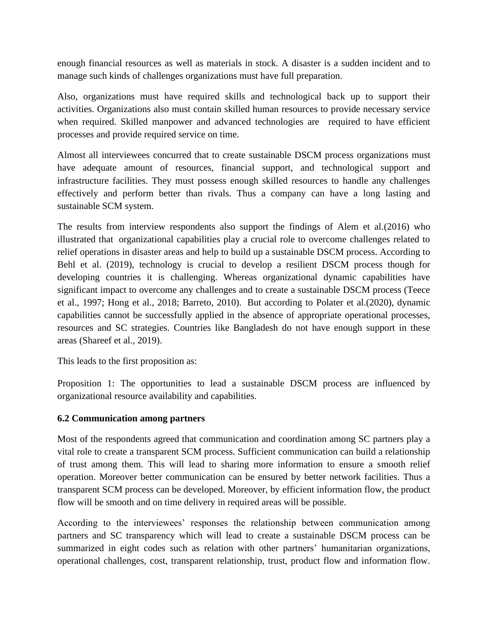enough financial resources as well as materials in stock. A disaster is a sudden incident and to manage such kinds of challenges organizations must have full preparation.

Also, organizations must have required skills and technological back up to support their activities. Organizations also must contain skilled human resources to provide necessary service when required. Skilled manpower and advanced technologies are required to have efficient processes and provide required service on time.

Almost all interviewees concurred that to create sustainable DSCM process organizations must have adequate amount of resources, financial support, and technological support and infrastructure facilities. They must possess enough skilled resources to handle any challenges effectively and perform better than rivals. Thus a company can have a long lasting and sustainable SCM system.

The results from interview respondents also support the findings of Alem et al.(2016) who illustrated that organizational capabilities play a crucial role to overcome challenges related to relief operations in disaster areas and help to build up a sustainable DSCM process. According to Behl et al. (2019), technology is crucial to develop a resilient DSCM process though for developing countries it is challenging. Whereas organizational dynamic capabilities have significant impact to overcome any challenges and to create a sustainable DSCM process (Teece et al., 1997; Hong et al., 2018; Barreto, 2010). But according to Polater et al.(2020), dynamic capabilities cannot be successfully applied in the absence of appropriate operational processes, resources and SC strategies. Countries like Bangladesh do not have enough support in these areas (Shareef et al., 2019).

This leads to the first proposition as:

Proposition 1: The opportunities to lead a sustainable DSCM process are influenced by organizational resource availability and capabilities.

## **6.2 Communication among partners**

Most of the respondents agreed that communication and coordination among SC partners play a vital role to create a transparent SCM process. Sufficient communication can build a relationship of trust among them. This will lead to sharing more information to ensure a smooth relief operation. Moreover better communication can be ensured by better network facilities. Thus a transparent SCM process can be developed. Moreover, by efficient information flow, the product flow will be smooth and on time delivery in required areas will be possible.

According to the interviewees' responses the relationship between communication among partners and SC transparency which will lead to create a sustainable DSCM process can be summarized in eight codes such as relation with other partners' humanitarian organizations, operational challenges, cost, transparent relationship, trust, product flow and information flow.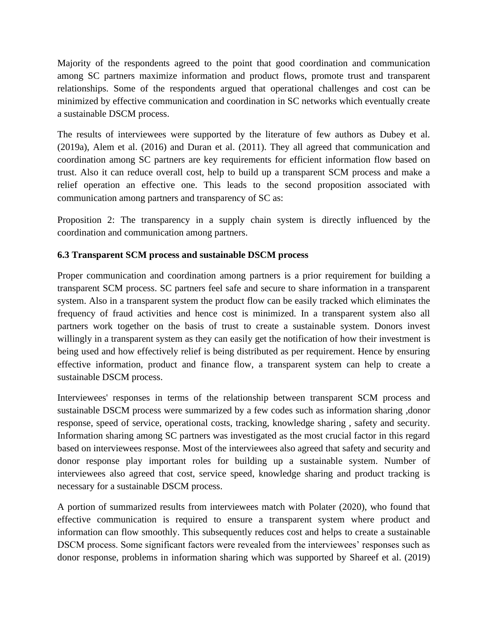Majority of the respondents agreed to the point that good coordination and communication among SC partners maximize information and product flows, promote trust and transparent relationships. Some of the respondents argued that operational challenges and cost can be minimized by effective communication and coordination in SC networks which eventually create a sustainable DSCM process.

The results of interviewees were supported by the literature of few authors as Dubey et al. (2019a), Alem et al. (2016) and Duran et al. (2011). They all agreed that communication and coordination among SC partners are key requirements for efficient information flow based on trust. Also it can reduce overall cost, help to build up a transparent SCM process and make a relief operation an effective one. This leads to the second proposition associated with communication among partners and transparency of SC as:

Proposition 2: The transparency in a supply chain system is directly influenced by the coordination and communication among partners.

# **6.3 Transparent SCM process and sustainable DSCM process**

Proper communication and coordination among partners is a prior requirement for building a transparent SCM process. SC partners feel safe and secure to share information in a transparent system. Also in a transparent system the product flow can be easily tracked which eliminates the frequency of fraud activities and hence cost is minimized. In a transparent system also all partners work together on the basis of trust to create a sustainable system. Donors invest willingly in a transparent system as they can easily get the notification of how their investment is being used and how effectively relief is being distributed as per requirement. Hence by ensuring effective information, product and finance flow, a transparent system can help to create a sustainable DSCM process.

Interviewees' responses in terms of the relationship between transparent SCM process and sustainable DSCM process were summarized by a few codes such as information sharing ,donor response, speed of service, operational costs, tracking, knowledge sharing , safety and security. Information sharing among SC partners was investigated as the most crucial factor in this regard based on interviewees response. Most of the interviewees also agreed that safety and security and donor response play important roles for building up a sustainable system. Number of interviewees also agreed that cost, service speed, knowledge sharing and product tracking is necessary for a sustainable DSCM process.

A portion of summarized results from interviewees match with Polater (2020), who found that effective communication is required to ensure a transparent system where product and information can flow smoothly. This subsequently reduces cost and helps to create a sustainable DSCM process. Some significant factors were revealed from the interviewees' responses such as donor response, problems in information sharing which was supported by Shareef et al. (2019)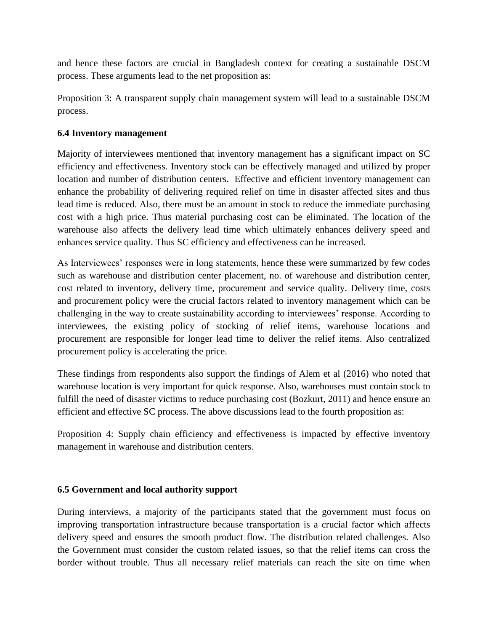and hence these factors are crucial in Bangladesh context for creating a sustainable DSCM process. These arguments lead to the net proposition as:

Proposition 3: A transparent supply chain management system will lead to a sustainable DSCM process.

#### **6.4 Inventory management**

Majority of interviewees mentioned that inventory management has a significant impact on SC efficiency and effectiveness. Inventory stock can be effectively managed and utilized by proper location and number of distribution centers. Effective and efficient inventory management can enhance the probability of delivering required relief on time in disaster affected sites and thus lead time is reduced. Also, there must be an amount in stock to reduce the immediate purchasing cost with a high price. Thus material purchasing cost can be eliminated. The location of the warehouse also affects the delivery lead time which ultimately enhances delivery speed and enhances service quality. Thus SC efficiency and effectiveness can be increased.

As Interviewees' responses were in long statements, hence these were summarized by few codes such as warehouse and distribution center placement, no. of warehouse and distribution center, cost related to inventory, delivery time, procurement and service quality. Delivery time, costs and procurement policy were the crucial factors related to inventory management which can be challenging in the way to create sustainability according to interviewees' response. According to interviewees, the existing policy of stocking of relief items, warehouse locations and procurement are responsible for longer lead time to deliver the relief items. Also centralized procurement policy is accelerating the price.

These findings from respondents also support the findings of Alem et al (2016) who noted that warehouse location is very important for quick response. Also, warehouses must contain stock to fulfill the need of disaster victims to reduce purchasing cost (Bozkurt, 2011) and hence ensure an efficient and effective SC process. The above discussions lead to the fourth proposition as:

Proposition 4: Supply chain efficiency and effectiveness is impacted by effective inventory management in warehouse and distribution centers.

## **6.5 Government and local authority support**

During interviews, a majority of the participants stated that the government must focus on improving transportation infrastructure because transportation is a crucial factor which affects delivery speed and ensures the smooth product flow. The distribution related challenges. Also the Government must consider the custom related issues, so that the relief items can cross the border without trouble. Thus all necessary relief materials can reach the site on time when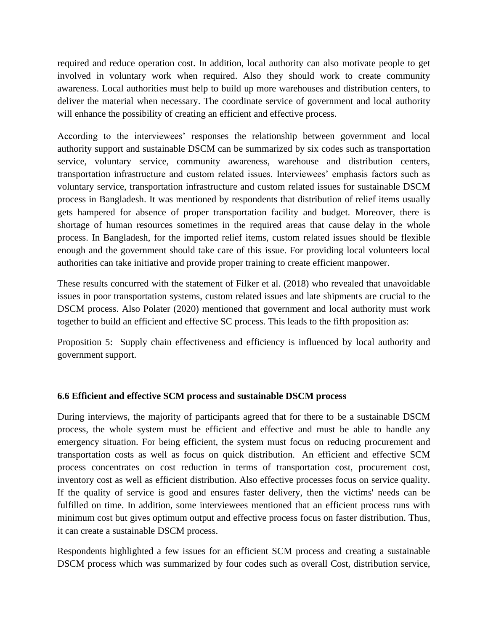required and reduce operation cost. In addition, local authority can also motivate people to get involved in voluntary work when required. Also they should work to create community awareness. Local authorities must help to build up more warehouses and distribution centers, to deliver the material when necessary. The coordinate service of government and local authority will enhance the possibility of creating an efficient and effective process.

According to the interviewees' responses the relationship between government and local authority support and sustainable DSCM can be summarized by six codes such as transportation service, voluntary service, community awareness, warehouse and distribution centers, transportation infrastructure and custom related issues. Interviewees' emphasis factors such as voluntary service, transportation infrastructure and custom related issues for sustainable DSCM process in Bangladesh. It was mentioned by respondents that distribution of relief items usually gets hampered for absence of proper transportation facility and budget. Moreover, there is shortage of human resources sometimes in the required areas that cause delay in the whole process. In Bangladesh, for the imported relief items, custom related issues should be flexible enough and the government should take care of this issue. For providing local volunteers local authorities can take initiative and provide proper training to create efficient manpower.

These results concurred with the statement of Filker et al. (2018) who revealed that unavoidable issues in poor transportation systems, custom related issues and late shipments are crucial to the DSCM process. Also Polater (2020) mentioned that government and local authority must work together to build an efficient and effective SC process. This leads to the fifth proposition as:

Proposition 5: Supply chain effectiveness and efficiency is influenced by local authority and government support.

## **6.6 Efficient and effective SCM process and sustainable DSCM process**

During interviews, the majority of participants agreed that for there to be a sustainable DSCM process, the whole system must be efficient and effective and must be able to handle any emergency situation. For being efficient, the system must focus on reducing procurement and transportation costs as well as focus on quick distribution. An efficient and effective SCM process concentrates on cost reduction in terms of transportation cost, procurement cost, inventory cost as well as efficient distribution. Also effective processes focus on service quality. If the quality of service is good and ensures faster delivery, then the victims' needs can be fulfilled on time. In addition, some interviewees mentioned that an efficient process runs with minimum cost but gives optimum output and effective process focus on faster distribution. Thus, it can create a sustainable DSCM process.

Respondents highlighted a few issues for an efficient SCM process and creating a sustainable DSCM process which was summarized by four codes such as overall Cost, distribution service,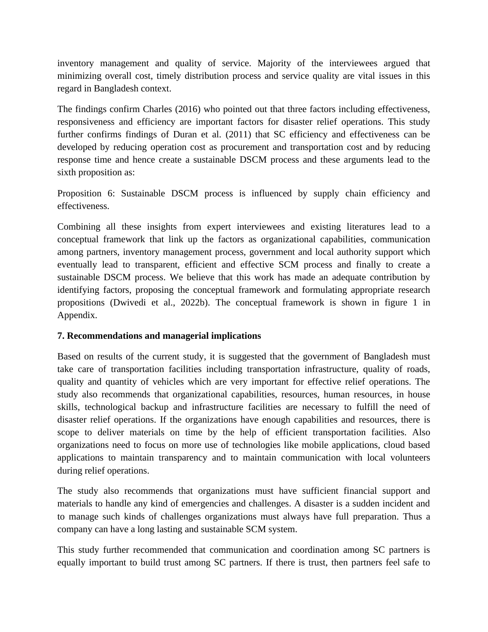inventory management and quality of service. Majority of the interviewees argued that minimizing overall cost, timely distribution process and service quality are vital issues in this regard in Bangladesh context.

The findings confirm Charles (2016) who pointed out that three factors including effectiveness, responsiveness and efficiency are important factors for disaster relief operations. This study further confirms findings of Duran et al. (2011) that SC efficiency and effectiveness can be developed by reducing operation cost as procurement and transportation cost and by reducing response time and hence create a sustainable DSCM process and these arguments lead to the sixth proposition as:

Proposition 6: Sustainable DSCM process is influenced by supply chain efficiency and effectiveness.

Combining all these insights from expert interviewees and existing literatures lead to a conceptual framework that link up the factors as organizational capabilities, communication among partners, inventory management process, government and local authority support which eventually lead to transparent, efficient and effective SCM process and finally to create a sustainable DSCM process. We believe that this work has made an adequate contribution by identifying factors, proposing the conceptual framework and formulating appropriate research propositions (Dwivedi et al., 2022b). The conceptual framework is shown in figure 1 in Appendix.

## **7. Recommendations and managerial implications**

Based on results of the current study, it is suggested that the government of Bangladesh must take care of transportation facilities including transportation infrastructure, quality of roads, quality and quantity of vehicles which are very important for effective relief operations. The study also recommends that organizational capabilities, resources, human resources, in house skills, technological backup and infrastructure facilities are necessary to fulfill the need of disaster relief operations. If the organizations have enough capabilities and resources, there is scope to deliver materials on time by the help of efficient transportation facilities. Also organizations need to focus on more use of technologies like mobile applications, cloud based applications to maintain transparency and to maintain communication with local volunteers during relief operations.

The study also recommends that organizations must have sufficient financial support and materials to handle any kind of emergencies and challenges. A disaster is a sudden incident and to manage such kinds of challenges organizations must always have full preparation. Thus a company can have a long lasting and sustainable SCM system.

This study further recommended that communication and coordination among SC partners is equally important to build trust among SC partners. If there is trust, then partners feel safe to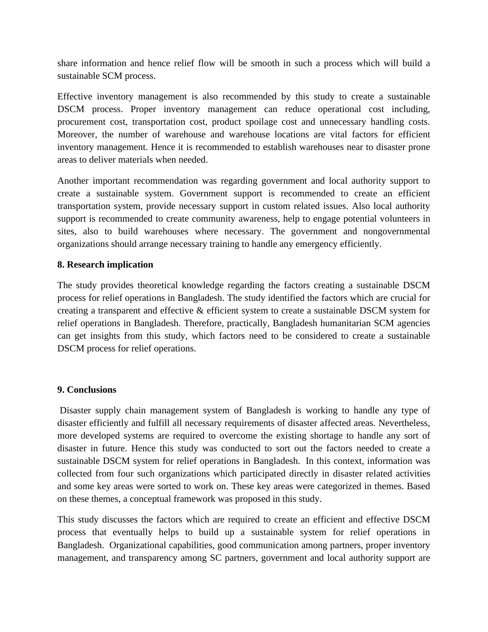share information and hence relief flow will be smooth in such a process which will build a sustainable SCM process.

Effective inventory management is also recommended by this study to create a sustainable DSCM process. Proper inventory management can reduce operational cost including, procurement cost, transportation cost, product spoilage cost and unnecessary handling costs. Moreover, the number of warehouse and warehouse locations are vital factors for efficient inventory management. Hence it is recommended to establish warehouses near to disaster prone areas to deliver materials when needed.

Another important recommendation was regarding government and local authority support to create a sustainable system. Government support is recommended to create an efficient transportation system, provide necessary support in custom related issues. Also local authority support is recommended to create community awareness, help to engage potential volunteers in sites, also to build warehouses where necessary. The government and nongovernmental organizations should arrange necessary training to handle any emergency efficiently.

#### **8. Research implication**

The study provides theoretical knowledge regarding the factors creating a sustainable DSCM process for relief operations in Bangladesh. The study identified the factors which are crucial for creating a transparent and effective & efficient system to create a sustainable DSCM system for relief operations in Bangladesh. Therefore, practically, Bangladesh humanitarian SCM agencies can get insights from this study, which factors need to be considered to create a sustainable DSCM process for relief operations.

#### **9. Conclusions**

Disaster supply chain management system of Bangladesh is working to handle any type of disaster efficiently and fulfill all necessary requirements of disaster affected areas. Nevertheless, more developed systems are required to overcome the existing shortage to handle any sort of disaster in future. Hence this study was conducted to sort out the factors needed to create a sustainable DSCM system for relief operations in Bangladesh. In this context, information was collected from four such organizations which participated directly in disaster related activities and some key areas were sorted to work on. These key areas were categorized in themes. Based on these themes, a conceptual framework was proposed in this study.

This study discusses the factors which are required to create an efficient and effective DSCM process that eventually helps to build up a sustainable system for relief operations in Bangladesh. Organizational capabilities, good communication among partners, proper inventory management, and transparency among SC partners, government and local authority support are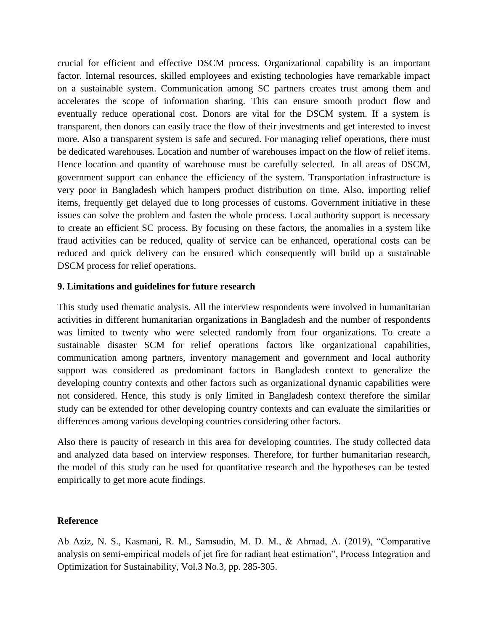crucial for efficient and effective DSCM process. Organizational capability is an important factor. Internal resources, skilled employees and existing technologies have remarkable impact on a sustainable system. Communication among SC partners creates trust among them and accelerates the scope of information sharing. This can ensure smooth product flow and eventually reduce operational cost. Donors are vital for the DSCM system. If a system is transparent, then donors can easily trace the flow of their investments and get interested to invest more. Also a transparent system is safe and secured. For managing relief operations, there must be dedicated warehouses. Location and number of warehouses impact on the flow of relief items. Hence location and quantity of warehouse must be carefully selected. In all areas of DSCM, government support can enhance the efficiency of the system. Transportation infrastructure is very poor in Bangladesh which hampers product distribution on time. Also, importing relief items, frequently get delayed due to long processes of customs. Government initiative in these issues can solve the problem and fasten the whole process. Local authority support is necessary to create an efficient SC process. By focusing on these factors, the anomalies in a system like fraud activities can be reduced, quality of service can be enhanced, operational costs can be reduced and quick delivery can be ensured which consequently will build up a sustainable DSCM process for relief operations.

#### **9. Limitations and guidelines for future research**

This study used thematic analysis. All the interview respondents were involved in humanitarian activities in different humanitarian organizations in Bangladesh and the number of respondents was limited to twenty who were selected randomly from four organizations. To create a sustainable disaster SCM for relief operations factors like organizational capabilities, communication among partners, inventory management and government and local authority support was considered as predominant factors in Bangladesh context to generalize the developing country contexts and other factors such as organizational dynamic capabilities were not considered. Hence, this study is only limited in Bangladesh context therefore the similar study can be extended for other developing country contexts and can evaluate the similarities or differences among various developing countries considering other factors.

Also there is paucity of research in this area for developing countries. The study collected data and analyzed data based on interview responses. Therefore, for further humanitarian research, the model of this study can be used for quantitative research and the hypotheses can be tested empirically to get more acute findings.

#### **Reference**

Ab Aziz, N. S., Kasmani, R. M., Samsudin, M. D. M., & Ahmad, A. (2019), "Comparative analysis on semi-empirical models of jet fire for radiant heat estimation", Process Integration and Optimization for Sustainability, Vol.3 No.3, pp. 285-305.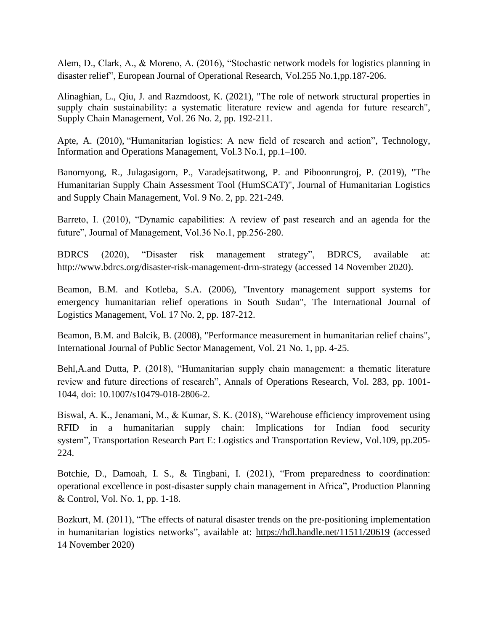Alem, D., Clark, A., & Moreno, A. (2016), "Stochastic network models for logistics planning in disaster relief", European Journal of Operational Research, Vol.255 No.1,pp.187-206.

Alinaghian, L., Qiu, J. and Razmdoost, K. (2021), "The role of network structural properties in supply chain sustainability: a systematic literature review and agenda for future research", Supply Chain Management, Vol. 26 No. 2, pp. 192-211.

Apte, A. (2010), "Humanitarian logistics: A new field of research and action", Technology, Information and Operations Management, Vol.3 No.1, pp.1–100.

Banomyong, R., Julagasigorn, P., Varadejsatitwong, P. and Piboonrungroj, P. (2019), "The Humanitarian Supply Chain Assessment Tool (HumSCAT)", Journal of Humanitarian Logistics and Supply Chain Management, Vol. 9 No. 2, pp. 221-249.

Barreto, I. (2010), "Dynamic capabilities: A review of past research and an agenda for the future", Journal of Management, Vol.36 No.1, pp.256-280.

BDRCS (2020), "Disaster risk management strategy", BDRCS, available at: http://www.bdrcs.org/disaster-risk-management-drm-strategy (accessed 14 November 2020).

Beamon, B.M. and Kotleba, S.A. (2006), "Inventory management support systems for emergency humanitarian relief operations in South Sudan", The International Journal of Logistics Management, Vol. 17 No. 2, pp. 187-212.

Beamon, B.M. and Balcik, B. (2008), "Performance measurement in humanitarian relief chains", International Journal of Public Sector Management, Vol. 21 No. 1, pp. 4-25.

Behl,A.and Dutta, P. (2018), "Humanitarian supply chain management: a thematic literature review and future directions of research", Annals of Operations Research, Vol. 283, pp. 1001- 1044, doi: 10.1007/s10479-018-2806-2.

Biswal, A. K., Jenamani, M., & Kumar, S. K. (2018), "Warehouse efficiency improvement using RFID in a humanitarian supply chain: Implications for Indian food security system", Transportation Research Part E: Logistics and Transportation Review, Vol.109, pp.205- 224.

Botchie, D., Damoah, I. S., & Tingbani, I. (2021), "From preparedness to coordination: operational excellence in post-disaster supply chain management in Africa", Production Planning & Control, Vol. No. 1, pp. 1-18.

Bozkurt, M. (2011), "The effects of natural disaster trends on the pre-positioning implementation in humanitarian logistics networks", available at:<https://hdl.handle.net/11511/20619> (accessed 14 November 2020)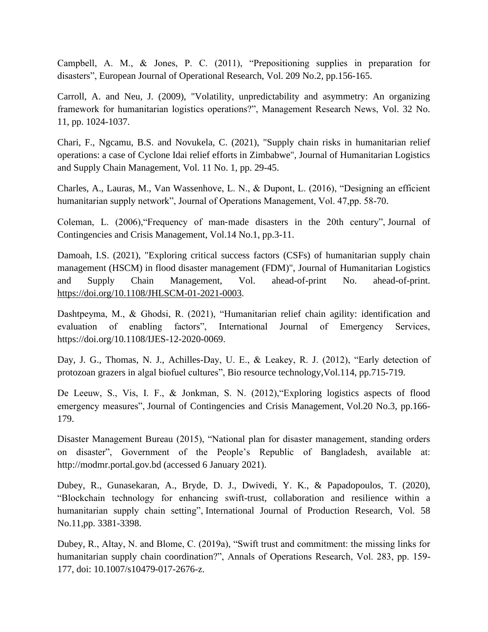Campbell, A. M., & Jones, P. C. (2011), "Prepositioning supplies in preparation for disasters", European Journal of Operational Research, Vol. 209 No.2, pp.156-165.

Carroll, A. and Neu, J. (2009), "Volatility, unpredictability and asymmetry: An organizing framework for humanitarian logistics operations?", Management Research News, Vol. 32 No. 11, pp. 1024-1037.

Chari, F., Ngcamu, B.S. and Novukela, C. (2021), "Supply chain risks in humanitarian relief operations: a case of Cyclone Idai relief efforts in Zimbabwe", Journal of Humanitarian Logistics and Supply Chain Management, Vol. 11 No. 1, pp. 29-45.

Charles, A., Lauras, M., Van Wassenhove, L. N., & Dupont, L. (2016), "Designing an efficient humanitarian supply network", Journal of Operations Management, Vol. 47,pp. 58-70.

Coleman, L. (2006),"Frequency of man‐made disasters in the 20th century", Journal of Contingencies and Crisis Management, Vol.14 No.1, pp.3-11.

Damoah, I.S. (2021), "Exploring critical success factors (CSFs) of humanitarian supply chain management (HSCM) in flood disaster management (FDM)", Journal of Humanitarian Logistics and Supply Chain Management, Vol. ahead-of-print No. ahead-of-print. [https://doi.org/10.1108/JHLSCM-01-2021-0003.](https://doi.org/10.1108/JHLSCM-01-2021-0003)

Dashtpeyma, M., & Ghodsi, R. (2021), "Humanitarian relief chain agility: identification and evaluation of enabling factors", International Journal of Emergency Services, https://doi.org/10.1108/IJES-12-2020-0069.

Day, J. G., Thomas, N. J., Achilles-Day, U. E., & Leakey, R. J. (2012), "Early detection of protozoan grazers in algal biofuel cultures", Bio resource technology,Vol.114, pp.715-719.

De Leeuw, S., Vis, I. F., & Jonkman, S. N. (2012),"Exploring logistics aspects of flood emergency measures", Journal of Contingencies and Crisis Management, Vol.20 No.3, pp.166- 179.

Disaster Management Bureau (2015), "National plan for disaster management, standing orders on disaster", Government of the People's Republic of Bangladesh, available at: http://modmr.portal.gov.bd (accessed 6 January 2021).

Dubey, R., Gunasekaran, A., Bryde, D. J., Dwivedi, Y. K., & Papadopoulos, T. (2020), "Blockchain technology for enhancing swift-trust, collaboration and resilience within a humanitarian supply chain setting", International Journal of Production Research, Vol. 58 No.11,pp. 3381-3398.

Dubey, R., Altay, N. and Blome, C. (2019a), "Swift trust and commitment: the missing links for humanitarian supply chain coordination?", Annals of Operations Research, Vol. 283, pp. 159- 177, doi: 10.1007/s10479-017-2676-z.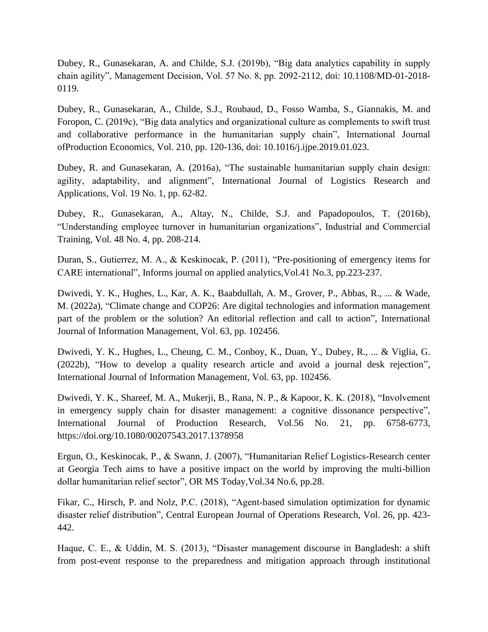Dubey, R., Gunasekaran, A. and Childe, S.J. (2019b), "Big data analytics capability in supply chain agility", Management Decision, Vol. 57 No. 8, pp. 2092-2112, doi: 10.1108/MD-01-2018- 0119.

Dubey, R., Gunasekaran, A., Childe, S.J., Roubaud, D., Fosso Wamba, S., Giannakis, M. and Foropon, C. (2019c), "Big data analytics and organizational culture as complements to swift trust and collaborative performance in the humanitarian supply chain", International Journal ofProduction Economics, Vol. 210, pp. 120-136, doi: 10.1016/j.ijpe.2019.01.023.

Dubey, R. and Gunasekaran, A. (2016a), "The sustainable humanitarian supply chain design: agility, adaptability, and alignment", International Journal of Logistics Research and Applications, Vol. 19 No. 1, pp. 62-82.

Dubey, R., Gunasekaran, A., Altay, N., Childe, S.J. and Papadopoulos, T. (2016b), "Understanding employee turnover in humanitarian organizations", Industrial and Commercial Training, Vol. 48 No. 4, pp. 208-214.

Duran, S., Gutierrez, M. A., & Keskinocak, P. (2011), "Pre-positioning of emergency items for CARE international", Informs journal on applied analytics,Vol.41 No.3, pp.223-237.

Dwivedi, Y. K., Hughes, L., Kar, A. K., Baabdullah, A. M., Grover, P., Abbas, R., ... & Wade, M. (2022a), "Climate change and COP26: Are digital technologies and information management part of the problem or the solution? An editorial reflection and call to action", International Journal of Information Management, Vol. 63, pp. 102456.

Dwivedi, Y. K., Hughes, L., Cheung, C. M., Conboy, K., Duan, Y., Dubey, R., ... & Viglia, G. (2022b), "How to develop a quality research article and avoid a journal desk rejection", International Journal of Information Management, Vol. 63, pp. 102456.

Dwivedi, Y. K., Shareef, M. A., Mukerji, B., Rana, N. P., & Kapoor, K. K. (2018), "Involvement in emergency supply chain for disaster management: a cognitive dissonance perspective", International Journal of Production Research, Vol.56 No. 21, pp. 6758-6773, https://doi.org/10.1080/00207543.2017.1378958

Ergun, O., Keskinocak, P., & Swann, J. (2007), "Humanitarian Relief Logistics-Research center at Georgia Tech aims to have a positive impact on the world by improving the multi-billion dollar humanitarian relief sector", OR MS Today,Vol.34 No.6, pp.28.

Fikar, C., Hirsch, P. and Nolz, P.C. (2018), "Agent-based simulation optimization for dynamic disaster relief distribution", Central European Journal of Operations Research, Vol. 26, pp. 423- 442.

Haque, C. E., & Uddin, M. S. (2013), "Disaster management discourse in Bangladesh: a shift from post-event response to the preparedness and mitigation approach through institutional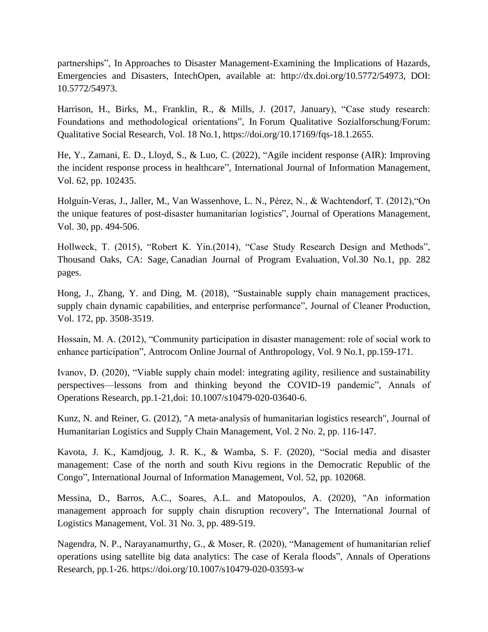partnerships", In Approaches to Disaster Management-Examining the Implications of Hazards, Emergencies and Disasters, IntechOpen, available at: http://dx.doi.org/10.5772/54973, DOI: 10.5772/54973.

Harrison, H., Birks, M., Franklin, R., & Mills, J. (2017, January), "Case study research: Foundations and methodological orientations", In Forum Qualitative Sozialforschung/Forum: Qualitative Social Research, Vol. 18 No.1, https://doi.org/10.17169/fqs-18.1.2655.

He, Y., Zamani, E. D., Lloyd, S., & Luo, C. (2022), "Agile incident response (AIR): Improving the incident response process in healthcare", International Journal of Information Management, Vol. 62, pp. 102435.

Holguín-Veras, J., Jaller, M., Van Wassenhove, L. N., Pérez, N., & Wachtendorf, T. (2012),"On the unique features of post-disaster humanitarian logistics", Journal of Operations Management, Vol. 30, pp. 494-506.

Hollweck, T. (2015), "Robert K. Yin.(2014), "Case Study Research Design and Methods", Thousand Oaks, CA: Sage, Canadian Journal of Program Evaluation, Vol.30 No.1, pp. 282 pages.

Hong, J., Zhang, Y. and Ding, M. (2018), "Sustainable supply chain management practices, supply chain dynamic capabilities, and enterprise performance", Journal of Cleaner Production, Vol. 172, pp. 3508-3519.

Hossain, M. A. (2012), "Community participation in disaster management: role of social work to enhance participation", Antrocom Online Journal of Anthropology, Vol. 9 No.1, pp.159-171.

Ivanov, D. (2020), "Viable supply chain model: integrating agility, resilience and sustainability perspectives—lessons from and thinking beyond the COVID-19 pandemic", Annals of Operations Research, pp.1-21,doi: 10.1007/s10479-020-03640-6.

Kunz, N. and Reiner, G. (2012), "A meta-analysis of humanitarian logistics research", Journal of Humanitarian Logistics and Supply Chain Management, Vol. 2 No. 2, pp. 116-147.

Kavota, J. K., Kamdjoug, J. R. K., & Wamba, S. F. (2020), "Social media and disaster management: Case of the north and south Kivu regions in the Democratic Republic of the Congo", International Journal of Information Management, Vol. 52, pp. 102068.

Messina, D., Barros, A.C., Soares, A.L. and Matopoulos, A. (2020), "An information management approach for supply chain disruption recovery", The International Journal of Logistics Management, Vol. 31 No. 3, pp. 489-519.

Nagendra, N. P., Narayanamurthy, G., & Moser, R. (2020), "Management of humanitarian relief operations using satellite big data analytics: The case of Kerala floods", Annals of Operations Research, pp.1-26. https://doi.org/10.1007/s10479-020-03593-w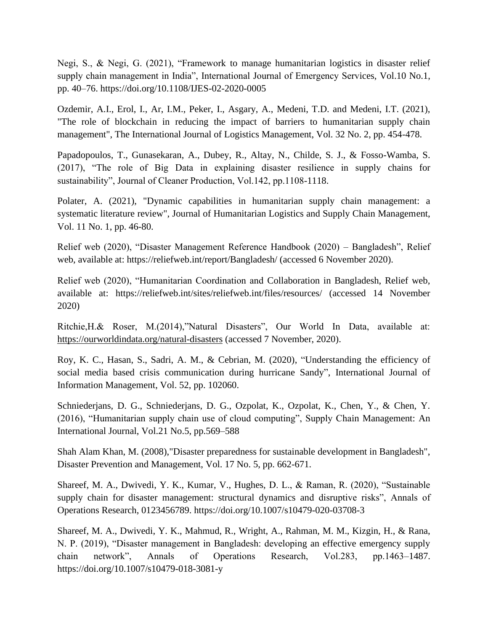Negi, S., & Negi, G. (2021), "Framework to manage humanitarian logistics in disaster relief supply chain management in India", International Journal of Emergency Services, Vol.10 No.1, pp. 40–76. https://doi.org/10.1108/IJES-02-2020-0005

Ozdemir, A.I., Erol, I., Ar, I.M., Peker, I., Asgary, A., Medeni, T.D. and Medeni, I.T. (2021), "The role of blockchain in reducing the impact of barriers to humanitarian supply chain management", The International Journal of Logistics Management, Vol. 32 No. 2, pp. 454-478.

Papadopoulos, T., Gunasekaran, A., Dubey, R., Altay, N., Childe, S. J., & Fosso-Wamba, S. (2017), "The role of Big Data in explaining disaster resilience in supply chains for sustainability", Journal of Cleaner Production, Vol.142, pp.1108-1118.

Polater, A. (2021), "Dynamic capabilities in humanitarian supply chain management: a systematic literature review", Journal of Humanitarian Logistics and Supply Chain Management, Vol. 11 No. 1, pp. 46-80.

Relief web (2020), "Disaster Management Reference Handbook (2020) – Bangladesh", Relief web, available at: https://reliefweb.int/report/Bangladesh/ (accessed 6 November 2020).

Relief web (2020), "Humanitarian Coordination and Collaboration in Bangladesh, Relief web, available at: https://reliefweb.int/sites/reliefweb.int/files/resources/ (accessed 14 November 2020)

Ritchie,H.& Roser, M.(2014),"Natural Disasters", Our World In Data, available at: <https://ourworldindata.org/natural-disasters> (accessed 7 November, 2020).

Roy, K. C., Hasan, S., Sadri, A. M., & Cebrian, M. (2020), "Understanding the efficiency of social media based crisis communication during hurricane Sandy", International Journal of Information Management, Vol. 52, pp. 102060.

Schniederjans, D. G., Schniederjans, D. G., Ozpolat, K., Ozpolat, K., Chen, Y., & Chen, Y. (2016), "Humanitarian supply chain use of cloud computing", Supply Chain Management: An International Journal, Vol.21 No.5, pp.569–588

Shah Alam Khan, M. (2008),"Disaster preparedness for sustainable development in Bangladesh", Disaster Prevention and Management, Vol. 17 No. 5, pp. 662-671.

Shareef, M. A., Dwivedi, Y. K., Kumar, V., Hughes, D. L., & Raman, R. (2020), "Sustainable supply chain for disaster management: structural dynamics and disruptive risks", Annals of Operations Research, 0123456789. https://doi.org/10.1007/s10479-020-03708-3

Shareef, M. A., Dwivedi, Y. K., Mahmud, R., Wright, A., Rahman, M. M., Kizgin, H., & Rana, N. P. (2019), "Disaster management in Bangladesh: developing an effective emergency supply chain network", Annals of Operations Research, Vol.283, pp.1463–1487. https://doi.org/10.1007/s10479-018-3081-y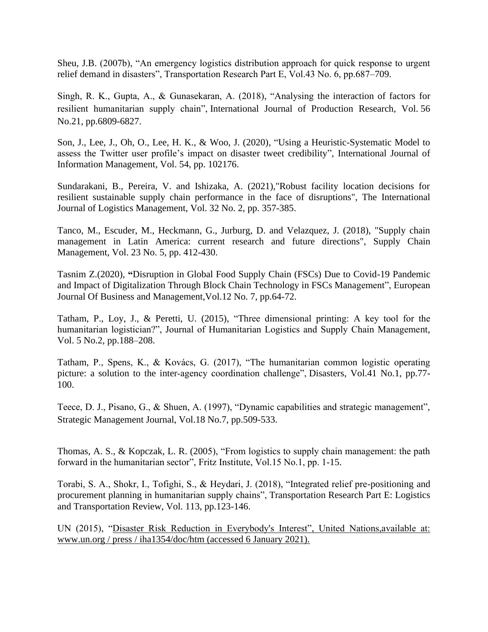Sheu, J.B. (2007b), "An emergency logistics distribution approach for quick response to urgent relief demand in disasters", Transportation Research Part E, Vol.43 No. 6, pp.687–709.

Singh, R. K., Gupta, A., & Gunasekaran, A. (2018), "Analysing the interaction of factors for resilient humanitarian supply chain", International Journal of Production Research, Vol. 56 No.21, pp.6809-6827.

Son, J., Lee, J., Oh, O., Lee, H. K., & Woo, J. (2020), "Using a Heuristic-Systematic Model to assess the Twitter user profile's impact on disaster tweet credibility", International Journal of Information Management, Vol. 54, pp. 102176.

Sundarakani, B., Pereira, V. and Ishizaka, A. (2021),"Robust facility location decisions for resilient sustainable supply chain performance in the face of disruptions", The International Journal of Logistics Management, Vol. 32 No. 2, pp. 357-385.

Tanco, M., Escuder, M., Heckmann, G., Jurburg, D. and Velazquez, J. (2018), "Supply chain management in Latin America: current research and future directions", Supply Chain Management, Vol. 23 No. 5, pp. 412-430.

Tasnim Z.(2020), **"**Disruption in Global Food Supply Chain (FSCs) Due to Covid-19 Pandemic and Impact of Digitalization Through Block Chain Technology in FSCs Management", European Journal Of Business and Management,Vol.12 No. 7, pp.64-72.

Tatham, P., Loy, J., & Peretti, U. (2015), "Three dimensional printing: A key tool for the humanitarian logistician?", Journal of Humanitarian Logistics and Supply Chain Management, Vol. 5 No.2, pp.188–208.

Tatham, P., Spens, K., & Kovács, G. (2017), "The humanitarian common logistic operating picture: a solution to the inter-agency coordination challenge", Disasters, Vol.41 No.1, pp.77-100.

Teece, D. J., Pisano, G., & Shuen, A. (1997), "Dynamic capabilities and strategic management", Strategic Management Journal, Vol.18 No.7, pp.509-533.

Thomas, A. S., & Kopczak, L. R. (2005), "From logistics to supply chain management: the path forward in the humanitarian sector", Fritz Institute, Vol.15 No.1, pp. 1-15.

Torabi, S. A., Shokr, I., Tofighi, S., & Heydari, J. (2018), "Integrated relief pre-positioning and procurement planning in humanitarian supply chains", Transportation Research Part E: Logistics and Transportation Review, Vol. 113, pp.123-146.

UN (2015), "Disaster Risk Reduction in Everybody's Interest", United Nations,available at: www.un.org / press / iha1354/doc/htm (accessed 6 January 2021).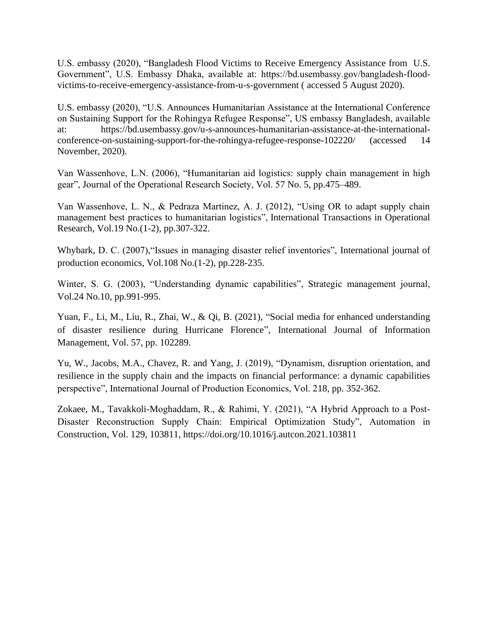U.S. embassy (2020), "Bangladesh Flood Victims to Receive Emergency Assistance from U.S. Government", U.S. Embassy Dhaka, available at: https://bd.usembassy.gov/bangladesh-floodvictims-to-receive-emergency-assistance-from-u-s-government ( accessed 5 August 2020).

U.S. embassy (2020), "U.S. Announces Humanitarian Assistance at the International Conference on Sustaining Support for the Rohingya Refugee Response", US embassy Bangladesh, available at: https://bd.usembassy.gov/u-s-announces-humanitarian-assistance-at-the-internationalconference-on-sustaining-support-for-the-rohingya-refugee-response-102220/ (accessed 14 November, 2020).

Van Wassenhove, L.N. (2006), "Humanitarian aid logistics: supply chain management in high gear", Journal of the Operational Research Society, Vol. 57 No. 5, pp.475–489.

Van Wassenhove, L. N., & Pedraza Martinez, A. J. (2012), "Using OR to adapt supply chain management best practices to humanitarian logistics", International Transactions in Operational Research, Vol.19 No.(1-2), pp.307-322.

Whybark, D. C. (2007),"Issues in managing disaster relief inventories", International journal of production economics, Vol.108 No.(1-2), pp.228-235.

Winter, S. G. (2003), "Understanding dynamic capabilities", Strategic management journal, Vol.24 No.10, pp.991-995.

Yuan, F., Li, M., Liu, R., Zhai, W., & Qi, B. (2021), "Social media for enhanced understanding of disaster resilience during Hurricane Florence", International Journal of Information Management, Vol. 57, pp. 102289.

Yu, W., Jacobs, M.A., Chavez, R. and Yang, J. (2019), "Dynamism, disruption orientation, and resilience in the supply chain and the impacts on financial performance: a dynamic capabilities perspective", International Journal of Production Economics, Vol. 218, pp. 352-362.

Zokaee, M., Tavakkoli-Moghaddam, R., & Rahimi, Y. (2021), "A Hybrid Approach to a Post-Disaster Reconstruction Supply Chain: Empirical Optimization Study", Automation in Construction, Vol. 129, 103811, https://doi.org/10.1016/j.autcon.2021.103811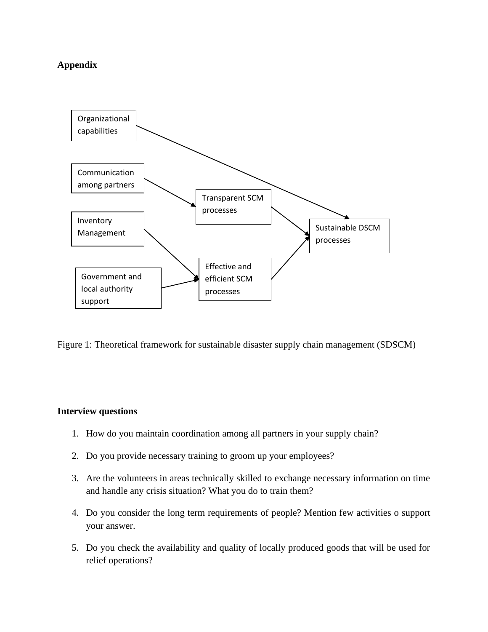# **Appendix**



Figure 1: Theoretical framework for sustainable disaster supply chain management (SDSCM)

#### **Interview questions**

- 1. How do you maintain coordination among all partners in your supply chain?
- 2. Do you provide necessary training to groom up your employees?
- 3. Are the volunteers in areas technically skilled to exchange necessary information on time and handle any crisis situation? What you do to train them?
- 4. Do you consider the long term requirements of people? Mention few activities o support your answer.
- 5. Do you check the availability and quality of locally produced goods that will be used for relief operations?